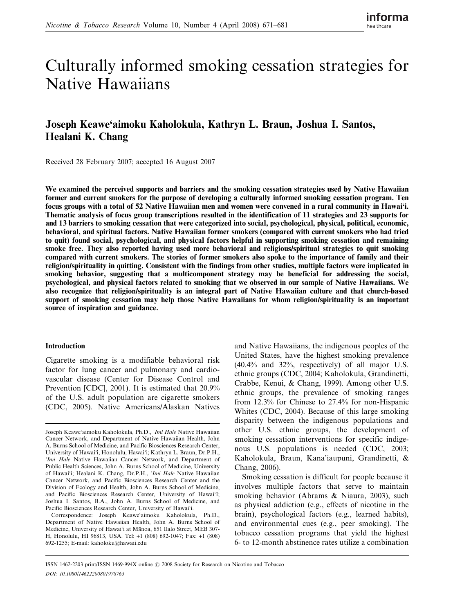# Culturally informed smoking cessation strategies for Native Hawaiians

## Joseph Keawe'aimoku Kaholokula, Kathryn L. Braun, Joshua I. Santos, Healani K. Chang

Received 28 February 2007; accepted 16 August 2007

We examined the perceived supports and barriers and the smoking cessation strategies used by Native Hawaiian former and current smokers for the purpose of developing a culturally informed smoking cessation program. Ten focus groups with a total of 52 Native Hawaiian men and women were convened in a rural community in Hawai'i. Thematic analysis of focus group transcriptions resulted in the identification of 11 strategies and 23 supports for and 13 barriers to smoking cessation that were categorized into social, psychological, physical, political, economic, behavioral, and spiritual factors. Native Hawaiian former smokers (compared with current smokers who had tried to quit) found social, psychological, and physical factors helpful in supporting smoking cessation and remaining smoke free. They also reported having used more behavioral and religious/spiritual strategies to quit smoking compared with current smokers. The stories of former smokers also spoke to the importance of family and their religion/spirituality in quitting. Consistent with the findings from other studies, multiple factors were implicated in smoking behavior, suggesting that a multicomponent strategy may be beneficial for addressing the social, psychological, and physical factors related to smoking that we observed in our sample of Native Hawaiians. We also recognize that religion/spirituality is an integral part of Native Hawaiian culture and that church-based support of smoking cessation may help those Native Hawaiians for whom religion/spirituality is an important source of inspiration and guidance.

#### Introduction

Cigarette smoking is a modifiable behavioral risk factor for lung cancer and pulmonary and cardiovascular disease (Center for Disease Control and Prevention [CDC], 2001). It is estimated that 20.9% of the U.S. adult population are cigarette smokers (CDC, 2005). Native Americans/Alaskan Natives and Native Hawaiians, the indigenous peoples of the United States, have the highest smoking prevalence (40.4% and 32%, respectively) of all major U.S. ethnic groups (CDC, 2004; Kaholokula, Grandinetti, Crabbe, Kenui, & Chang, 1999). Among other U.S. ethnic groups, the prevalence of smoking ranges from 12.3% for Chinese to 27.4% for non-Hispanic Whites (CDC, 2004). Because of this large smoking disparity between the indigenous populations and other U.S. ethnic groups, the development of smoking cessation interventions for specific indigenous U.S. populations is needed (CDC, 2003; Kaholokula, Braun, Kana'iaupuni, Grandinetti, & Chang, 2006).

Smoking cessation is difficult for people because it involves multiple factors that serve to maintain smoking behavior (Abrams & Niaura, 2003), such as physical addiction (e.g., effects of nicotine in the brain), psychological factors (e.g., learned habits), and environmental cues (e.g., peer smoking). The tobacco cessation programs that yield the highest 6- to 12-month abstinence rates utilize a combination

Joseph Keawe'aimoku Kaholokula, Ph.D., 'Imi Hale Native Hawaiian Cancer Network, and Department of Native Hawaiian Health, John A. Burns School of Medicine, and Pacific Biosciences Research Center, University of Hawai'i, Honolulu, Hawai'i; Kathryn L. Braun, Dr.P.H., 'Imi Hale Native Hawaiian Cancer Network, and Department of Public Health Sciences, John A. Burns School of Medicine, University of Hawai'i; Healani K. Chang, Dr.P.H., 'Imi Hale Native Hawaiian Cancer Network, and Pacific Biosciences Research Center and the Division of Ecology and Health, John A. Burns School of Medicine, and Pacific Biosciences Research Center, University of Hawai'I; Joshua I. Santos, B.A., John A. Burns School of Medicine, and Pacific Biosciences Research Center, University of Hawai'i.

Correspondence: Joseph Keawe'aimoku Kaholokula, Ph.D., Department of Native Hawaiian Health, John A. Burns School of Medicine, University of Hawai'i at Mānoa, 651 Ilalo Street, MEB 307-H, Honolulu, HI 96813, USA. Tel: +1 (808) 692-1047; Fax: +1 (808) 692-1255; E-mail: kaholoku@hawaii.edu

ISSN 1462-2203 print/ISSN 1469-994X online  $\odot$  2008 Society for Research on Nicotine and Tobacco DOI: 10.1080/14622200801978763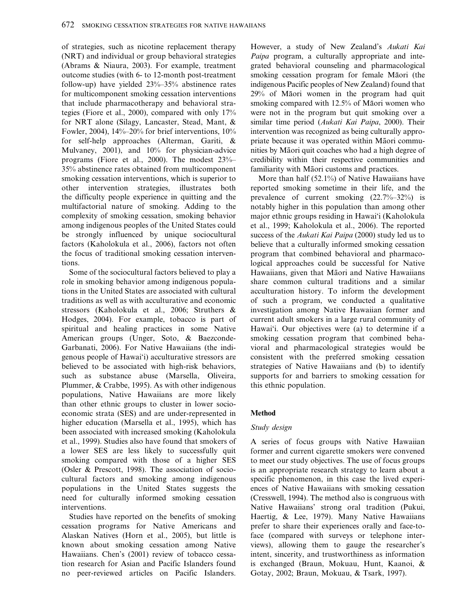of strategies, such as nicotine replacement therapy (NRT) and individual or group behavioral strategies (Abrams & Niaura, 2003). For example, treatment outcome studies (with 6- to 12-month post-treatment follow-up) have yielded 23%–35% abstinence rates for multicomponent smoking cessation interventions that include pharmacotherapy and behavioral strategies (Fiore et al., 2000), compared with only 17% for NRT alone (Silagy, Lancaster, Stead, Mant, & Fowler, 2004),  $14\% - 20\%$  for brief interventions,  $10\%$ for self-help approaches (Alterman, Gariti, & Mulvaney, 2001), and 10% for physician-advice programs (Fiore et al., 2000). The modest 23%– 35% abstinence rates obtained from multicomponent smoking cessation interventions, which is superior to other intervention strategies, illustrates both the difficulty people experience in quitting and the multifactorial nature of smoking. Adding to the complexity of smoking cessation, smoking behavior among indigenous peoples of the United States could be strongly influenced by unique sociocultural factors (Kaholokula et al., 2006), factors not often the focus of traditional smoking cessation interventions.

Some of the sociocultural factors believed to play a role in smoking behavior among indigenous populations in the United States are associated with cultural traditions as well as with acculturative and economic stressors (Kaholokula et al., 2006; Struthers & Hodges, 2004). For example, tobacco is part of spiritual and healing practices in some Native American groups (Unger, Soto, & Baezconde-Garbanati, 2006). For Native Hawaiians (the indigenous people of Hawai'i) acculturative stressors are believed to be associated with high-risk behaviors, such as substance abuse (Marsella, Oliveira, Plummer, & Crabbe, 1995). As with other indigenous populations, Native Hawaiians are more likely than other ethnic groups to cluster in lower socioeconomic strata (SES) and are under-represented in higher education (Marsella et al., 1995), which has been associated with increased smoking (Kaholokula et al., 1999). Studies also have found that smokers of a lower SES are less likely to successfully quit smoking compared with those of a higher SES (Osler & Prescott, 1998). The association of sociocultural factors and smoking among indigenous populations in the United States suggests the need for culturally informed smoking cessation interventions.

Studies have reported on the benefits of smoking cessation programs for Native Americans and Alaskan Natives (Horn et al., 2005), but little is known about smoking cessation among Native Hawaiians. Chen's (2001) review of tobacco cessation research for Asian and Pacific Islanders found no peer-reviewed articles on Pacific Islanders.

However, a study of New Zealand's Aukati Kai Paipa program, a culturally appropriate and integrated behavioral counseling and pharmacological smoking cessation program for female Māori (the indigenous Pacific peoples of New Zealand) found that  $29\%$  of Maori women in the program had quit smoking compared with  $12.5%$  of Ma $\overline{a}$ ori women who were not in the program but quit smoking over a similar time period (Aukati Kai Paipa, 2000). Their intervention was recognized as being culturally appropriate because it was operated within Māori communities by Māori quit coaches who had a high degree of credibility within their respective communities and familiarity with Māori customs and practices.

More than half (52.1%) of Native Hawaiians have reported smoking sometime in their life, and the prevalence of current smoking (22.7%–32%) is notably higher in this population than among other major ethnic groups residing in Hawai'i (Kaholokula et al., 1999; Kaholokula et al., 2006). The reported success of the Aukati Kai Paipa (2000) study led us to believe that a culturally informed smoking cessation program that combined behavioral and pharmacological approaches could be successful for Native Hawaiians, given that Māori and Native Hawaiians share common cultural traditions and a similar acculturation history. To inform the development of such a program, we conducted a qualitative investigation among Native Hawaiian former and current adult smokers in a large rural community of Hawai'i. Our objectives were (a) to determine if a smoking cessation program that combined behavioral and pharmacological strategies would be consistent with the preferred smoking cessation strategies of Native Hawaiians and (b) to identify supports for and barriers to smoking cessation for this ethnic population.

## Method

## Study design

A series of focus groups with Native Hawaiian former and current cigarette smokers were convened to meet our study objectives. The use of focus groups is an appropriate research strategy to learn about a specific phenomenon, in this case the lived experiences of Native Hawaiians with smoking cessation (Cresswell, 1994). The method also is congruous with Native Hawaiians' strong oral tradition (Pukui, Haertig, & Lee, 1979). Many Native Hawaiians prefer to share their experiences orally and face-toface (compared with surveys or telephone interviews), allowing them to gauge the researcher's intent, sincerity, and trustworthiness as information is exchanged (Braun, Mokuau, Hunt, Kaanoi, & Gotay, 2002; Braun, Mokuau, & Tsark, 1997).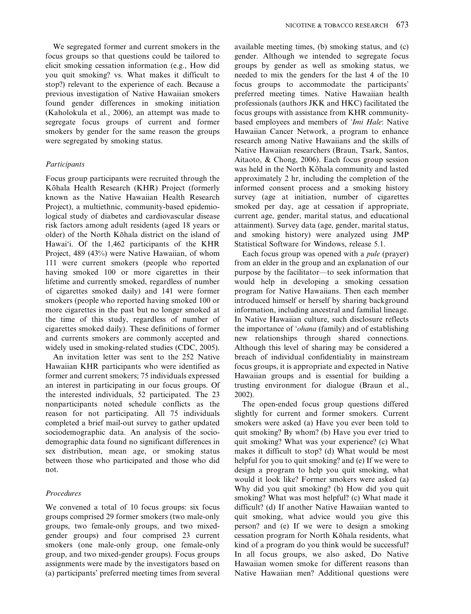We segregated former and current smokers in the focus groups so that questions could be tailored to elicit smoking cessation information (e.g., How did you quit smoking? vs. What makes it difficult to stop?) relevant to the experience of each. Because a previous investigation of Native Hawaiian smokers found gender differences in smoking initiation (Kaholokula et al., 2006), an attempt was made to segregate focus groups of current and former smokers by gender for the same reason the groups were segregated by smoking status.

## Participants

Focus group participants were recruited through the Kōhala Health Research (KHR) Project (formerly known as the Native Hawaiian Health Research Project), a multiethnic, community-based epidemiological study of diabetes and cardiovascular disease risk factors among adult residents (aged 18 years or older) of the North Kōhala district on the island of Hawai'i. Of the 1,462 participants of the KHR Project, 489 (43%) were Native Hawaiian, of whom 111 were current smokers (people who reported having smoked 100 or more cigarettes in their lifetime and currently smoked, regardless of number of cigarettes smoked daily) and 141 were former smokers (people who reported having smoked 100 or more cigarettes in the past but no longer smoked at the time of this study, regardless of number of cigarettes smoked daily). These definitions of former and currents smokers are commonly accepted and widely used in smoking-related studies (CDC, 2005).

An invitation letter was sent to the 252 Native Hawaiian KHR participants who were identified as former and current smokers; 75 individuals expressed an interest in participating in our focus groups. Of the interested individuals, 52 participated. The 23 nonparticipants noted schedule conflicts as the reason for not participating. All 75 individuals completed a brief mail-out survey to gather updated sociodemographic data. An analysis of the sociodemographic data found no significant differences in sex distribution, mean age, or smoking status between those who participated and those who did not.

#### Procedures

We convened a total of 10 focus groups: six focus groups comprised 29 former smokers (two male-only groups, two female-only groups, and two mixedgender groups) and four comprised 23 current smokers (one male-only group, one female-only group, and two mixed-gender groups). Focus groups assignments were made by the investigators based on (a) participants' preferred meeting times from several available meeting times, (b) smoking status, and (c) gender. Although we intended to segregate focus groups by gender as well as smoking status, we needed to mix the genders for the last 4 of the 10 focus groups to accommodate the participants' preferred meeting times. Native Hawaiian health professionals (authors JKK and HKC) facilitated the focus groups with assistance from KHR communitybased employees and members of 'Imi Hale: Native Hawaiian Cancer Network, a program to enhance research among Native Hawaiians and the skills of Native Hawaiian researchers (Braun, Tsark, Santos, Aitaoto, & Chong, 2006). Each focus group session was held in the North Kōhala community and lasted approximately 2 hr, including the completion of the informed consent process and a smoking history survey (age at initiation, number of cigarettes smoked per day, age at cessation if appropriate, current age, gender, marital status, and educational attainment). Survey data (age, gender, marital status, and smoking history) were analyzed using JMP Statistical Software for Windows, release 5.1.

Each focus group was opened with a pule (prayer) from an elder in the group and an explanation of our purpose by the facilitator—to seek information that would help in developing a smoking cessation program for Native Hawaiians. Then each member introduced himself or herself by sharing background information, including ancestral and familial lineage. In Native Hawaiian culture, such disclosure reflects the importance of 'ohana (family) and of establishing new relationships through shared connections. Although this level of sharing may be considered a breach of individual confidentiality in mainstream focus groups, it is appropriate and expected in Native Hawaiian groups and is essential for building a trusting environment for dialogue (Braun et al., 2002).

The open-ended focus group questions differed slightly for current and former smokers. Current smokers were asked (a) Have you ever been told to quit smoking? By whom? (b) Have you ever tried to quit smoking? What was your experience? (c) What makes it difficult to stop? (d) What would be most helpful for you to quit smoking? and (e) If we were to design a program to help you quit smoking, what would it look like? Former smokers were asked (a) Why did you quit smoking? (b) How did you quit smoking? What was most helpful? (c) What made it difficult? (d) If another Native Hawaiian wanted to quit smoking, what advice would you give this person? and (e) If we were to design a smoking cessation program for North Kōhala residents, what kind of a program do you think would be successful? In all focus groups, we also asked, Do Native Hawaiian women smoke for different reasons than Native Hawaiian men? Additional questions were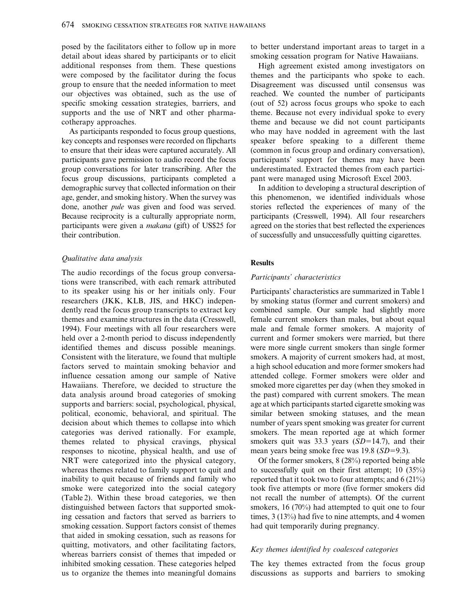posed by the facilitators either to follow up in more detail about ideas shared by participants or to elicit additional responses from them. These questions were composed by the facilitator during the focus group to ensure that the needed information to meet our objectives was obtained, such as the use of specific smoking cessation strategies, barriers, and supports and the use of NRT and other pharmacotherapy approaches.

As participants responded to focus group questions, key concepts and responses were recorded on flipcharts to ensure that their ideas were captured accurately. All participants gave permission to audio record the focus group conversations for later transcribing. After the focus group discussions, participants completed a demographic survey that collected information on their age, gender, and smoking history. When the survey was done, another pule was given and food was served. Because reciprocity is a culturally appropriate norm, participants were given a makana (gift) of US\$25 for their contribution.

#### Qualitative data analysis

The audio recordings of the focus group conversations were transcribed, with each remark attributed to its speaker using his or her initials only. Four researchers (JKK, KLB, JIS, and HKC) independently read the focus group transcripts to extract key themes and examine structures in the data (Cresswell, 1994). Four meetings with all four researchers were held over a 2-month period to discuss independently identified themes and discuss possible meanings. Consistent with the literature, we found that multiple factors served to maintain smoking behavior and influence cessation among our sample of Native Hawaiians. Therefore, we decided to structure the data analysis around broad categories of smoking supports and barriers: social, psychological, physical, political, economic, behavioral, and spiritual. The decision about which themes to collapse into which categories was derived rationally. For example, themes related to physical cravings, physical responses to nicotine, physical health, and use of NRT were categorized into the physical category, whereas themes related to family support to quit and inability to quit because of friends and family who smoke were categorized into the social category (Table 2). Within these broad categories, we then distinguished between factors that supported smoking cessation and factors that served as barriers to smoking cessation. Support factors consist of themes that aided in smoking cessation, such as reasons for quitting, motivators, and other facilitating factors, whereas barriers consist of themes that impeded or inhibited smoking cessation. These categories helped us to organize the themes into meaningful domains to better understand important areas to target in a smoking cessation program for Native Hawaiians.

High agreement existed among investigators on themes and the participants who spoke to each. Disagreement was discussed until consensus was reached. We counted the number of participants (out of 52) across focus groups who spoke to each theme. Because not every individual spoke to every theme and because we did not count participants who may have nodded in agreement with the last speaker before speaking to a different theme (common in focus group and ordinary conversation), participants' support for themes may have been underestimated. Extracted themes from each participant were managed using Microsoft Excel 2003.

In addition to developing a structural description of this phenomenon, we identified individuals whose stories reflected the experiences of many of the participants (Cresswell, 1994). All four researchers agreed on the stories that best reflected the experiences of successfully and unsuccessfully quitting cigarettes.

#### **Results**

#### Participants' characteristics

Participants' characteristics are summarized in Table 1 by smoking status (former and current smokers) and combined sample. Our sample had slightly more female current smokers than males, but about equal male and female former smokers. A majority of current and former smokers were married, but there were more single current smokers than single former smokers. A majority of current smokers had, at most, a high school education and more former smokers had attended college. Former smokers were older and smoked more cigarettes per day (when they smoked in the past) compared with current smokers. The mean age at which participants started cigarette smoking was similar between smoking statuses, and the mean number of years spent smoking was greater for current smokers. The mean reported age at which former smokers quit was 33.3 years  $(SD=14.7)$ , and their mean years being smoke free was  $19.8$  (SD=9.3).

Of the former smokers, 8 (28%) reported being able to successfully quit on their first attempt; 10 (35%) reported that it took two to four attempts; and 6 (21%) took five attempts or more (five former smokers did not recall the number of attempts). Of the current smokers, 16 (70%) had attempted to quit one to four times, 3 (13%) had five to nine attempts, and 4 women had quit temporarily during pregnancy.

#### Key themes identified by coalesced categories

The key themes extracted from the focus group discussions as supports and barriers to smoking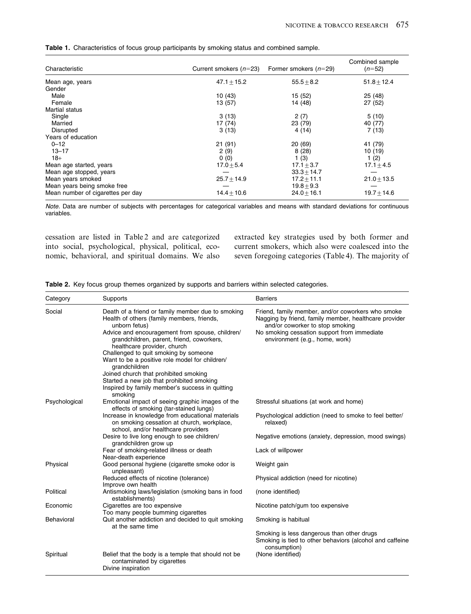| <b>Table 1.</b> Characteristics of focus group participants by smoking status and combined sample. |  |  |  |  |  |  |
|----------------------------------------------------------------------------------------------------|--|--|--|--|--|--|
|----------------------------------------------------------------------------------------------------|--|--|--|--|--|--|

| Characteristic                    | Current smokers $(n=23)$ | Former smokers $(n=29)$ | Combined sample<br>$(n=52)$ |
|-----------------------------------|--------------------------|-------------------------|-----------------------------|
| Mean age, years                   | $47.1 + 15.2$            | $55.5 + 8.2$            | $51.8 + 12.4$               |
| Gender                            |                          |                         |                             |
| Male                              | 10(43)                   | 15 (52)                 | 25(48)                      |
| Female                            | 13 (57)                  | 14 (48)                 | 27(52)                      |
| <b>Martial status</b>             |                          |                         |                             |
| Single                            | 3(13)                    | 2(7)                    | 5(10)                       |
| Married                           | 17 (74)                  | 23 (79)                 | 40 (77)                     |
| Disrupted                         | 3(13)                    | 4(14)                   | 7(13)                       |
| Years of education                |                          |                         |                             |
| $0 - 12$                          | 21(91)                   | 20 (69)                 | 41 (79)                     |
| $13 - 17$                         | 2(9)                     | 8(28)                   | 10(19)                      |
| $18+$                             | 0(0)                     | 1(3)                    | 1(2)                        |
| Mean age started, years           | $17.0 + 5.4$             | $17.1 + 3.7$            | $17.1 + 4.5$                |
| Mean age stopped, years           |                          | $33.3 + 14.7$           |                             |
| Mean years smoked                 | $25.7 + 14.9$            | $17.2 + 11.1$           | $21.0 + 13.5$               |
| Mean years being smoke free       |                          | $19.8 + 9.3$            |                             |
| Mean number of cigarettes per day | $14.4 + 10.6$            | $24.0 + 16.1$           | $19.7 + 14.6$               |

Note. Data are number of subjects with percentages for categorical variables and means with standard deviations for continuous variables.

cessation are listed in Table 2 and are categorized into social, psychological, physical, political, economic, behavioral, and spiritual domains. We also extracted key strategies used by both former and current smokers, which also were coalesced into the seven foregoing categories (Table 4). The majority of

| Category      | Supports                                                                                                                              | <b>Barriers</b>                                                                                                                               |
|---------------|---------------------------------------------------------------------------------------------------------------------------------------|-----------------------------------------------------------------------------------------------------------------------------------------------|
| Social        | Death of a friend or family member due to smoking<br>Health of others (family members, friends,<br>unborn fetus)                      | Friend, family member, and/or coworkers who smoke<br>Nagging by friend, family member, healthcare provider<br>and/or coworker to stop smoking |
|               | Advice and encouragement from spouse, children/<br>grandchildren, parent, friend, coworkers,<br>healthcare provider, church           | No smoking cessation support from immediate<br>environment (e.g., home, work)                                                                 |
|               | Challenged to quit smoking by someone<br>Want to be a positive role model for children/<br>grandchildren                              |                                                                                                                                               |
|               | Joined church that prohibited smoking<br>Started a new job that prohibited smoking<br>Inspired by family member's success in quitting |                                                                                                                                               |
| Psychological | smoking<br>Emotional impact of seeing graphic images of the<br>effects of smoking (tar-stained lungs)                                 | Stressful situations (at work and home)                                                                                                       |
|               | Increase in knowledge from educational materials<br>on smoking cessation at church, workplace,<br>school, and/or healthcare providers | Psychological addiction (need to smoke to feel better/<br>relaxed)                                                                            |
|               | Desire to live long enough to see children/<br>grandchildren grow up                                                                  | Negative emotions (anxiety, depression, mood swings)                                                                                          |
|               | Fear of smoking-related illness or death<br>Near-death experience                                                                     | Lack of willpower                                                                                                                             |
| Physical      | Good personal hygiene (cigarette smoke odor is<br>unpleasant)                                                                         | Weight gain                                                                                                                                   |
|               | Reduced effects of nicotine (tolerance)<br>Improve own health                                                                         | Physical addiction (need for nicotine)                                                                                                        |
| Political     | Antismoking laws/legislation (smoking bans in food<br>establishments)                                                                 | (none identified)                                                                                                                             |
| Economic      | Cigarettes are too expensive<br>Too many people bumming cigarettes                                                                    | Nicotine patch/gum too expensive                                                                                                              |
| Behavioral    | Quit another addiction and decided to quit smoking<br>at the same time                                                                | Smoking is habitual                                                                                                                           |
|               |                                                                                                                                       | Smoking is less dangerous than other drugs<br>Smoking is tied to other behaviors (alcohol and caffeine<br>consumption)                        |
| Spiritual     | Belief that the body is a temple that should not be<br>contaminated by cigarettes<br>Divine inspiration                               | (None identified)                                                                                                                             |

Table 2. Key focus group themes organized by supports and barriers within selected categories.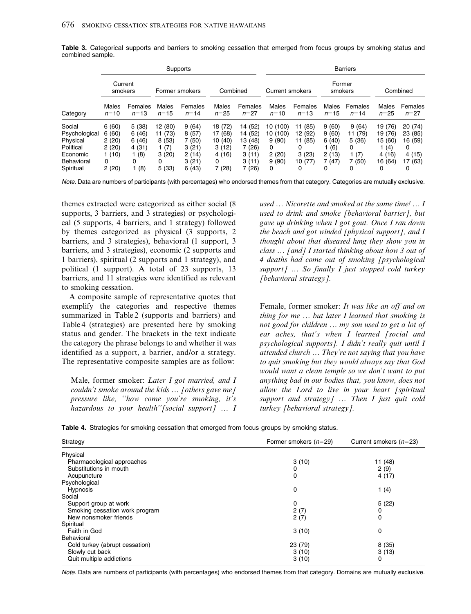|                                                                                         | Supports                                                |                                                       |                                                            |                                                             |                                                                |                                                                        | <b>Barriers</b>                                                  |                                                             |                                                       |                                                    |                                                                 |                                                             |  |
|-----------------------------------------------------------------------------------------|---------------------------------------------------------|-------------------------------------------------------|------------------------------------------------------------|-------------------------------------------------------------|----------------------------------------------------------------|------------------------------------------------------------------------|------------------------------------------------------------------|-------------------------------------------------------------|-------------------------------------------------------|----------------------------------------------------|-----------------------------------------------------------------|-------------------------------------------------------------|--|
| Current<br>smokers                                                                      |                                                         |                                                       | Former smokers                                             |                                                             | Combined                                                       |                                                                        | Current smokers                                                  |                                                             | Former<br>smokers                                     |                                                    | Combined                                                        |                                                             |  |
| Category                                                                                | Males<br>$n = 10$                                       | Females<br>$n = 13$                                   | Males<br>$n = 15$                                          | Females<br>$n = 14$                                         | Males<br>$n = 25$                                              | Females<br>$n = 27$                                                    | Males<br>$n = 10$                                                | Females<br>$n = 13$                                         | Males<br>$n = 15$                                     | Females<br>$n = 14$                                | Males<br>$n = 25$                                               | Females<br>$n = 27$                                         |  |
| Social<br>Psychological<br>Physical<br>Political<br>Economic<br>Behavioral<br>Spiritual | 6(60)<br>6(60)<br>2(20)<br>2(20)<br>1(10)<br>0<br>2(20) | 5(38)<br>6(46)<br>6(46)<br>4(31)<br>1(8)<br>0<br>1(8) | 12 (80)<br>11 (73)<br>8(53)<br>1(7)<br>3(20)<br>0<br>5(33) | 9(64)<br>8(57)<br>7(50)<br>3(21)<br>2(14)<br>3(21)<br>6(43) | 18 (72)<br>17 (68)<br>10 (40)<br>3(12)<br>4 (16)<br>0<br>7(28) | 14 (52)<br>(52)<br>14<br>13 (48)<br>7 (26)<br>3(11)<br>3(11)<br>7 (26) | 10 (100)<br>10 (100)<br>9(90)<br>0<br>2(20)<br>9(90)<br>$\Omega$ | 11 (85)<br>12 (92)<br>11 (85)<br>0<br>3(23)<br>10 (77)<br>0 | 9(60)<br>9(60)<br>6(40)<br>(6)<br>2(13)<br>7(47)<br>0 | 9(64)<br>11 (79)<br>5(36)<br>0<br>(7)<br>(50)<br>0 | 19 (76)<br>19 (76)<br>15 (60)<br>l (4)<br>4(16)<br>16 (64)<br>0 | 20(74)<br>23 (85)<br>16 (59)<br>0<br>4 (15)<br>17 (63)<br>0 |  |

Table 3. Categorical supports and barriers to smoking cessation that emerged from focus groups by smoking status and combined sample.

Note. Data are numbers of participants (with percentages) who endorsed themes from that category. Categories are mutually exclusive.

themes extracted were categorized as either social (8 supports, 3 barriers, and 3 strategies) or psychological (5 supports, 4 barriers, and 1 strategy) followed by themes categorized as physical (3 supports, 2 barriers, and 3 strategies), behavioral (1 support, 3 barriers, and 3 strategies), economic (2 supports and 1 barriers), spiritual (2 supports and 1 strategy), and political (1 support). A total of 23 supports, 13 barriers, and 11 strategies were identified as relevant to smoking cessation.

A composite sample of representative quotes that exemplify the categories and respective themes summarized in Table 2 (supports and barriers) and Table 4 (strategies) are presented here by smoking status and gender. The brackets in the text indicate the category the phrase belongs to and whether it was identified as a support, a barrier, and/or a strategy. The representative composite samples are as follow:

Male, former smoker: Later I got married, and I couldn't smoke around the kids ... [others gave me] pressure like, ''how come you're smoking, it's hazardous to your health"[social support] ... I

used … Nicorette and smoked at the same time! … I used to drink and smoke [behavioral barrier], but gave up drinking when I got gout. Once I ran down the beach and got winded [physical support], and  $I$ thought about that diseased lung they show you in class … [and] I started thinking about how 3 out of 4 deaths had come out of smoking [psychological support]  $\ldots$  So finally I just stopped cold turkey [behavioral strategy].

Female, former smoker: It was like an off and on thing for me  $\ldots$  but later I learned that smoking is not good for children … my son used to get a lot of ear aches, that's when I learned [social and psychological supports]. I didn't really quit until I attended church … They're not saying that you have to quit smoking but they would always say that God would want a clean temple so we don't want to put anything bad in our bodies that, you know, does not allow the Lord to live in your heart [spiritual support and strategy] ... Then I just quit cold turkey [behavioral strategy].

Table 4. Strategies for smoking cessation that emerged from focus groups by smoking status.

| Strategy                       | Former smokers $(n=29)$ | Current smokers $(n=23)$ |
|--------------------------------|-------------------------|--------------------------|
| Physical                       |                         |                          |
| Pharmacological approaches     | 3(10)                   | 11 (48)                  |
| Substitutions in mouth         | 0                       | 2(9)                     |
| Acupuncture                    | 0                       | 4(17)                    |
| Psychological                  |                         |                          |
| <b>Hypnosis</b>                | 0                       | 1 $(4)$                  |
| Social                         |                         |                          |
| Support group at work          | 0                       | 5(22)                    |
| Smoking cessation work program | 2(7)                    | 0                        |
| New nonsmoker friends          | 2(7)                    | 0                        |
| Spiritual                      |                         |                          |
| Faith in God                   | 3(10)                   | 0                        |
| <b>Behavioral</b>              |                         |                          |
| Cold turkey (abrupt cessation) | 23 (79)                 | 8(35)                    |
| Slowly cut back                | 3(10)                   | 3(13)                    |
| Quit multiple addictions       | 3(10)                   | 0                        |

Note. Data are numbers of participants (with percentages) who endorsed themes from that category. Domains are mutually exclusive.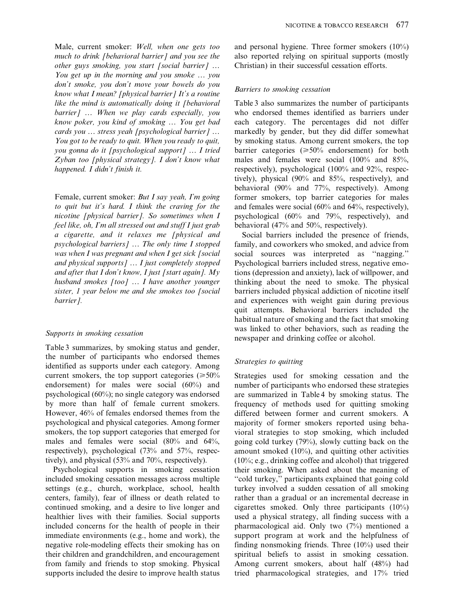Male, current smoker: Well, when one gets too much to drink [behavioral barrier] and you see the other guys smoking, you start [social barrier] … You get up in the morning and you smoke … you don't smoke, you don't move your bowels do you know what I mean? [physical barrier] It's a routine like the mind is automatically doing it [behavioral barrier] ... When we play cards especially, you know poker, you kind of smoking … You get bad cards you … stress yeah [psychological barrier] … You got to be ready to quit. When you ready to quit, you gonna do it [psychological support] … I tried Zyban too [physical strategy]. I don't know what happened. I didn't finish it.

Female, current smoker: But I say yeah, I'm going to quit but it's hard. I think the craving for the nicotine [physical barrier]. So sometimes when I feel like, oh, I'm all stressed out and stuff I just grab a cigarette, and it relaxes me [physical and psychological barriers] … The only time I stopped was when I was pregnant and when I get sick [social] and physical supports] … I just completely stopped and after that I don't know, I just [start again].  $Mv$ husband smokes [too] ... I have another younger sister, 1 year below me and she smokes too [social barrier].

#### Supports in smoking cessation

Table 3 summarizes, by smoking status and gender, the number of participants who endorsed themes identified as supports under each category. Among current smokers, the top support categories ( $\geq 50\%$ ) endorsement) for males were social (60%) and psychological (60%); no single category was endorsed by more than half of female current smokers. However, 46% of females endorsed themes from the psychological and physical categories. Among former smokers, the top support categories that emerged for males and females were social (80% and 64%, respectively), psychological (73% and 57%, respectively), and physical (53% and 70%, respectively).

Psychological supports in smoking cessation included smoking cessation messages across multiple settings (e.g., church, workplace, school, health centers, family), fear of illness or death related to continued smoking, and a desire to live longer and healthier lives with their families. Social supports included concerns for the health of people in their immediate environments (e.g., home and work), the negative role-modeling effects their smoking has on their children and grandchildren, and encouragement from family and friends to stop smoking. Physical supports included the desire to improve health status

and personal hygiene. Three former smokers (10%) also reported relying on spiritual supports (mostly Christian) in their successful cessation efforts.

#### Barriers to smoking cessation

Table 3 also summarizes the number of participants who endorsed themes identified as barriers under each category. The percentages did not differ markedly by gender, but they did differ somewhat by smoking status. Among current smokers, the top barrier categories  $(\geq 50\%$  endorsement) for both males and females were social (100% and 85%, respectively), psychological (100% and 92%, respectively), physical (90% and 85%, respectively), and behavioral (90% and 77%, respectively). Among former smokers, top barrier categories for males and females were social (60% and 64%, respectively), psychological (60% and 79%, respectively), and behavioral (47% and 50%, respectively).

Social barriers included the presence of friends, family, and coworkers who smoked, and advice from social sources was interpreted as "nagging." Psychological barriers included stress, negative emotions (depression and anxiety), lack of willpower, and thinking about the need to smoke. The physical barriers included physical addiction of nicotine itself and experiences with weight gain during previous quit attempts. Behavioral barriers included the habitual nature of smoking and the fact that smoking was linked to other behaviors, such as reading the newspaper and drinking coffee or alcohol.

#### Strategies to quitting

Strategies used for smoking cessation and the number of participants who endorsed these strategies are summarized in Table 4 by smoking status. The frequency of methods used for quitting smoking differed between former and current smokers. A majority of former smokers reported using behavioral strategies to stop smoking, which included going cold turkey (79%), slowly cutting back on the amount smoked (10%), and quitting other activities (10%; e.g., drinking coffee and alcohol) that triggered their smoking. When asked about the meaning of ''cold turkey,'' participants explained that going cold turkey involved a sudden cessation of all smoking rather than a gradual or an incremental decrease in cigarettes smoked. Only three participants (10%) used a physical strategy, all finding success with a pharmacological aid. Only two (7%) mentioned a support program at work and the helpfulness of finding nonsmoking friends. Three (10%) used their spiritual beliefs to assist in smoking cessation. Among current smokers, about half (48%) had tried pharmacological strategies, and 17% tried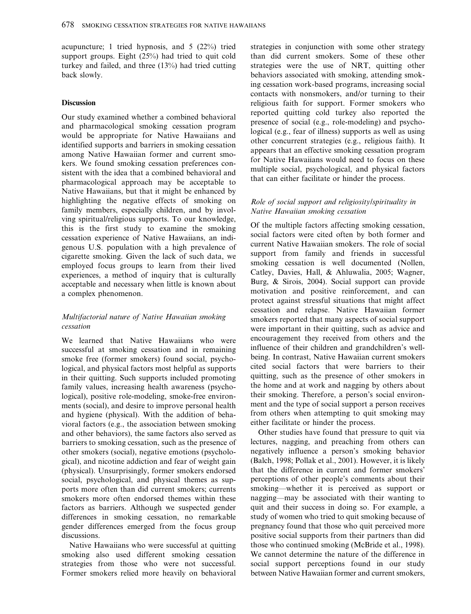acupuncture; 1 tried hypnosis, and 5 (22%) tried support groups. Eight (25%) had tried to quit cold turkey and failed, and three (13%) had tried cutting back slowly.

#### **Discussion**

Our study examined whether a combined behavioral and pharmacological smoking cessation program would be appropriate for Native Hawaiians and identified supports and barriers in smoking cessation among Native Hawaiian former and current smokers. We found smoking cessation preferences consistent with the idea that a combined behavioral and pharmacological approach may be acceptable to Native Hawaiians, but that it might be enhanced by highlighting the negative effects of smoking on family members, especially children, and by involving spiritual/religious supports. To our knowledge, this is the first study to examine the smoking cessation experience of Native Hawaiians, an indigenous U.S. population with a high prevalence of cigarette smoking. Given the lack of such data, we employed focus groups to learn from their lived experiences, a method of inquiry that is culturally acceptable and necessary when little is known about a complex phenomenon.

## Multifactorial nature of Native Hawaiian smoking cessation

We learned that Native Hawaiians who were successful at smoking cessation and in remaining smoke free (former smokers) found social, psychological, and physical factors most helpful as supports in their quitting. Such supports included promoting family values, increasing health awareness (psychological), positive role-modeling, smoke-free environments (social), and desire to improve personal health and hygiene (physical). With the addition of behavioral factors (e.g., the association between smoking and other behaviors), the same factors also served as barriers to smoking cessation, such as the presence of other smokers (social), negative emotions (psychological), and nicotine addiction and fear of weight gain (physical). Unsurprisingly, former smokers endorsed social, psychological, and physical themes as supports more often than did current smokers; currents smokers more often endorsed themes within these factors as barriers. Although we suspected gender differences in smoking cessation, no remarkable gender differences emerged from the focus group discussions.

Native Hawaiians who were successful at quitting smoking also used different smoking cessation strategies from those who were not successful. Former smokers relied more heavily on behavioral strategies in conjunction with some other strategy than did current smokers. Some of these other strategies were the use of NRT, quitting other behaviors associated with smoking, attending smoking cessation work-based programs, increasing social contacts with nonsmokers, and/or turning to their religious faith for support. Former smokers who reported quitting cold turkey also reported the presence of social (e.g., role-modeling) and psychological (e.g., fear of illness) supports as well as using other concurrent strategies (e.g., religious faith). It appears that an effective smoking cessation program for Native Hawaiians would need to focus on these multiple social, psychological, and physical factors that can either facilitate or hinder the process.

## Role of social support and religiosity/spirituality in Native Hawaiian smoking cessation

Of the multiple factors affecting smoking cessation, social factors were cited often by both former and current Native Hawaiian smokers. The role of social support from family and friends in successful smoking cessation is well documented (Nollen, Catley, Davies, Hall, & Ahluwalia, 2005; Wagner, Burg, & Sirois, 2004). Social support can provide motivation and positive reinforcement, and can protect against stressful situations that might affect cessation and relapse. Native Hawaiian former smokers reported that many aspects of social support were important in their quitting, such as advice and encouragement they received from others and the influence of their children and grandchildren's wellbeing. In contrast, Native Hawaiian current smokers cited social factors that were barriers to their quitting, such as the presence of other smokers in the home and at work and nagging by others about their smoking. Therefore, a person's social environment and the type of social support a person receives from others when attempting to quit smoking may either facilitate or hinder the process.

Other studies have found that pressure to quit via lectures, nagging, and preaching from others can negatively influence a person's smoking behavior (Balch, 1998; Pollak et al., 2001). However, it is likely that the difference in current and former smokers' perceptions of other people's comments about their smoking—whether it is perceived as support or nagging—may be associated with their wanting to quit and their success in doing so. For example, a study of women who tried to quit smoking because of pregnancy found that those who quit perceived more positive social supports from their partners than did those who continued smoking (McBride et al., 1998). We cannot determine the nature of the difference in social support perceptions found in our study between Native Hawaiian former and current smokers,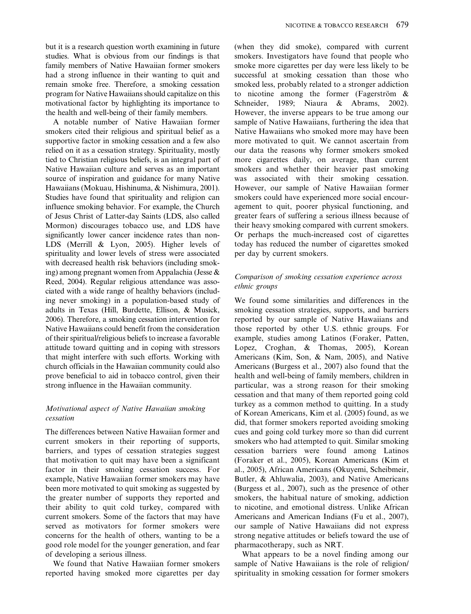but it is a research question worth examining in future studies. What is obvious from our findings is that family members of Native Hawaiian former smokers had a strong influence in their wanting to quit and remain smoke free. Therefore, a smoking cessation program for Native Hawaiians should capitalize on this motivational factor by highlighting its importance to the health and well-being of their family members.

A notable number of Native Hawaiian former smokers cited their religious and spiritual belief as a supportive factor in smoking cessation and a few also relied on it as a cessation strategy. Spirituality, mostly tied to Christian religious beliefs, is an integral part of Native Hawaiian culture and serves as an important source of inspiration and guidance for many Native Hawaiians (Mokuau, Hishinuma, & Nishimura, 2001). Studies have found that spirituality and religion can influence smoking behavior. For example, the Church of Jesus Christ of Latter-day Saints (LDS, also called Mormon) discourages tobacco use, and LDS have significantly lower cancer incidence rates than non-LDS (Merrill & Lyon, 2005). Higher levels of spirituality and lower levels of stress were associated with decreased health risk behaviors (including smoking) among pregnant women from Appalachia (Jesse & Reed, 2004). Regular religious attendance was associated with a wide range of healthy behaviors (including never smoking) in a population-based study of adults in Texas (Hill, Burdette, Ellison, & Musick, 2006). Therefore, a smoking cessation intervention for Native Hawaiians could benefit from the consideration of their spiritual/religious beliefs to increase a favorable attitude toward quitting and in coping with stressors that might interfere with such efforts. Working with church officials in the Hawaiian community could also prove beneficial to aid in tobacco control, given their strong influence in the Hawaiian community.

## Motivational aspect of Native Hawaiian smoking cessation

The differences between Native Hawaiian former and current smokers in their reporting of supports, barriers, and types of cessation strategies suggest that motivation to quit may have been a significant factor in their smoking cessation success. For example, Native Hawaiian former smokers may have been more motivated to quit smoking as suggested by the greater number of supports they reported and their ability to quit cold turkey, compared with current smokers. Some of the factors that may have served as motivators for former smokers were concerns for the health of others, wanting to be a good role model for the younger generation, and fear of developing a serious illness.

We found that Native Hawaiian former smokers reported having smoked more cigarettes per day (when they did smoke), compared with current smokers. Investigators have found that people who smoke more cigarettes per day were less likely to be successful at smoking cessation than those who smoked less, probably related to a stronger addiction to nicotine among the former (Fagerström  $\&$ Schneider, 1989; Niaura & Abrams, 2002). However, the inverse appears to be true among our sample of Native Hawaiians, furthering the idea that Native Hawaiians who smoked more may have been more motivated to quit. We cannot ascertain from our data the reasons why former smokers smoked more cigarettes daily, on average, than current smokers and whether their heavier past smoking was associated with their smoking cessation. However, our sample of Native Hawaiian former smokers could have experienced more social encouragement to quit, poorer physical functioning, and greater fears of suffering a serious illness because of their heavy smoking compared with current smokers. Or perhaps the much-increased cost of cigarettes today has reduced the number of cigarettes smoked per day by current smokers.

## Comparison of smoking cessation experience across ethnic groups

We found some similarities and differences in the smoking cessation strategies, supports, and barriers reported by our sample of Native Hawaiians and those reported by other U.S. ethnic groups. For example, studies among Latinos (Foraker, Patten, Lopez, Croghan, & Thomas, 2005), Korean Americans (Kim, Son, & Nam, 2005), and Native Americans (Burgess et al., 2007) also found that the health and well-being of family members, children in particular, was a strong reason for their smoking cessation and that many of them reported going cold turkey as a common method to quitting. In a study of Korean Americans, Kim et al. (2005) found, as we did, that former smokers reported avoiding smoking cues and going cold turkey more so than did current smokers who had attempted to quit. Similar smoking cessation barriers were found among Latinos (Foraker et al., 2005), Korean Americans (Kim et al., 2005), African Americans (Okuyemi, Scheibmeir, Butler, & Ahluwalia, 2003), and Native Americans (Burgess et al., 2007), such as the presence of other smokers, the habitual nature of smoking, addiction to nicotine, and emotional distress. Unlike African Americans and American Indians (Fu et al., 2007), our sample of Native Hawaiians did not express strong negative attitudes or beliefs toward the use of pharmacotherapy, such as NRT.

What appears to be a novel finding among our sample of Native Hawaiians is the role of religion/ spirituality in smoking cessation for former smokers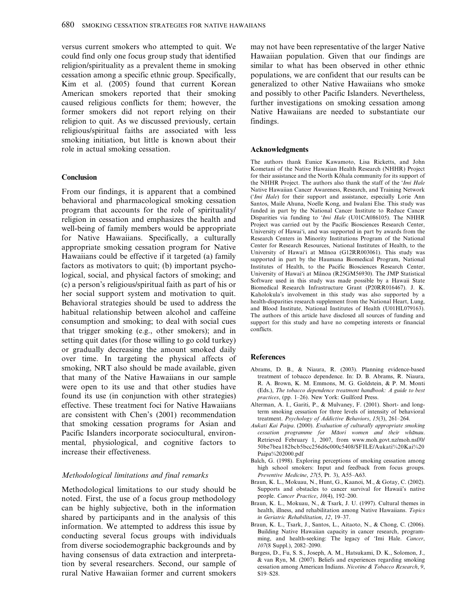versus current smokers who attempted to quit. We could find only one focus group study that identified religion/spirituality as a prevalent theme in smoking cessation among a specific ethnic group. Specifically, Kim et al. (2005) found that current Korean American smokers reported that their smoking caused religious conflicts for them; however, the former smokers did not report relying on their religion to quit. As we discussed previously, certain religious/spiritual faiths are associated with less smoking initiation, but little is known about their role in actual smoking cessation.

#### Conclusion

From our findings, it is apparent that a combined behavioral and pharmacological smoking cessation program that accounts for the role of spirituality/ religion in cessation and emphasizes the health and well-being of family members would be appropriate for Native Hawaiians. Specifically, a culturally appropriate smoking cessation program for Native Hawaiians could be effective if it targeted (a) family factors as motivators to quit; (b) important psychological, social, and physical factors of smoking; and (c) a person's religious/spiritual faith as part of his or her social support system and motivation to quit. Behavioral strategies should be used to address the habitual relationship between alcohol and caffeine consumption and smoking; to deal with social cues that trigger smoking (e.g., other smokers); and in setting quit dates (for those willing to go cold turkey) or gradually decreasing the amount smoked daily over time. In targeting the physical affects of smoking, NRT also should be made available, given that many of the Native Hawaiians in our sample were open to its use and that other studies have found its use (in conjunction with other strategies) effective. These treatment foci for Native Hawaiians are consistent with Chen's (2001) recommendation that smoking cessation programs for Asian and Pacific Islanders incorporate sociocultural, environmental, physiological, and cognitive factors to increase their effectiveness.

#### Methodological limitations and final remarks

Methodological limitations to our study should be noted. First, the use of a focus group methodology can be highly subjective, both in the information shared by participants and in the analysis of this information. We attempted to address this issue by conducting several focus groups with individuals from diverse sociodemographic backgrounds and by having consensus of data extraction and interpretation by several researchers. Second, our sample of rural Native Hawaiian former and current smokers may not have been representative of the larger Native Hawaiian population. Given that our findings are similar to what has been observed in other ethnic populations, we are confident that our results can be generalized to other Native Hawaiians who smoke and possibly to other Pacific Islanders. Nevertheless, further investigations on smoking cessation among Native Hawaiians are needed to substantiate our findings.

#### Acknowledgments

The authors thank Eunice Kawamoto, Lisa Ricketts, and John Kometani of the Native Hawaiian Health Research (NHHR) Project for their assistance and the North Kōhala community for its support of the NHHR Project. The authors also thank the staff of the 'Imi Hale Native Hawaiian Cancer Awareness, Research, and Training Network ('Imi Hale) for their support and assistance, especially Lorie Ann Santos, Maile Ahuna, Noelle Kong, and Iwalani Else. This study was funded in part by the National Cancer Institute to Reduce Cancer Disparities via funding to 'Imi Hale (U01CA086105). The NHHR Project was carried out by the Pacific Biosciences Research Center, University of Hawai'i, and was supported in part by awards from the Research Centers in Minority Institutions Program of the National Center for Research Resources, National Institutes of Health, to the University of Hawai'i at Mānoa (G12RR003061). This study was supported in part by the Haumana Biomedical Program, National Institutes of Health, to the Pacific Biosciences Research Center, University of Hawai'i at Mānoa (R25GM56930). The JMP Statistical Software used in this study was made possible by a Hawaii State Biomedical Research Infrastructure Grant (P20RR016467). J. K. Kaholokula's involvement in this study was also supported by a health-disparities research supplement from the National Heart, Lung, and Blood Institute, National Institutes of Health (U01HL079163). The authors of this article have disclosed all sources of funding and support for this study and have no competing interests or financial conflicts.

#### **References**

- Abrams, D. B., & Niaura, R. (2003). Planning evidence-based treatment of tobacco dependence. In: D. B. Abrams, R. Niaura, R. A. Brown, K. M. Emmons, M. G. Goldstein, & P. M. Monti (Eds.), The tobacco dependence treatment handbook: A guide to best practices, (pp. 1–26). New York: Guilford Press.
- Alterman, A. I., Gariti, P., & Mulvaney, F. (2001). Short- and longterm smoking cessation for three levels of intensity of behavioral treatment. Psychology of Addictive Behaviors, 15(3), 261–264.
- Aukati Kai Paipa. (2000). Evaluation of culturally appropriate smoking cessation programme for Māori women and their whānau. Retrieved February 1, 2007, from www.moh.govt.nz/moh.nsf/0/ 50be7bea182bcb5bcc256d6c000c5408/\$FILE/Aukati%20Kai%20 Paipa%202000.pdf
- Balch, G. (1998). Exploring perceptions of smoking cessation among high school smokers: Input and feedback from focus groups. Preventive Medicine, 27(5, Pt. 3), A55–A63.
- Braun, K. L., Mokuau, N., Hunt, G., Kaanoi, M., & Gotay, C. (2002). Supports and obstacles to cancer survival for Hawaii's native people. Cancer Practice, 10(4), 192–200.
- Braun, K. L., Mokuau, N., & Tsark, J. U. (1997). Cultural themes in health, illness, and rehabilitation among Native Hawaiians. Topics in Geriatric Rehabilitation, 12, 19–37.
- Braun, K. L., Tsark, J., Santos, L., Aitaoto, N., & Chong, C. (2006). Building Native Hawaiian capacity in cancer research, programming, and health-seeking: The legacy of 'Imi Hale. Cancer, 107(8 Suppl.), 2082–2090.
- Burgess, D., Fu, S. S., Joseph, A. M., Hatsukami, D. K., Solomon, J., & van Ryn, M. (2007). Beliefs and experiences regarding smoking cessation among American Indians. Nicotine & Tobacco Research, 9, S19–S28.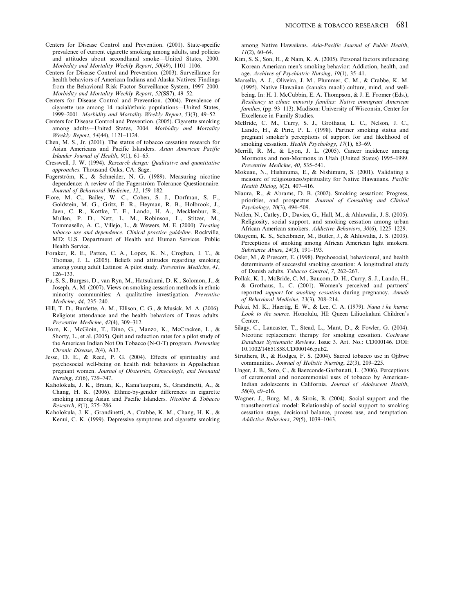- Centers for Disease Control and Prevention. (2001). State-specific prevalence of current cigarette smoking among adults, and policies and attitudes about secondhand smoke—United States, 2000. Morbidity and Mortality Weekly Report, 50(49), 1101–1106.
- Centers for Disease Control and Prevention. (2003). Surveillance for health behaviors of American Indians and Alaska Natives: Findings from the Behavioral Risk Factor Surveillance System, 1997–2000. Morbidity and Mortality Weekly Report, 52(SS7), 49–52.
- Centers for Disease Control and Prevention. (2004). Prevalence of cigarette use among 14 racial/ethnic populations—United States, 1999–2001. Morbidity and Mortality Weekly Report, 53(3), 49–52.
- Centers for Disease Control and Prevention. (2005). Cigarette smoking among adults—United States, 2004. Morbidity and Mortality Weekly Report, 54(44), 1121–1124.
- Chen, M. S., Jr. (2001). The status of tobacco cessation research for Asian Americans and Pacific Islanders. Asian American Pacific Islander Journal of Health, 9(1), 61–65.
- Cresswell, J. W. (1994). Research design: Qualitative and quantitative approaches. Thousand Oaks, CA: Sage.
- Fagerström, K., & Schneider, N. G. (1989). Measuring nicotine dependence: A review of the Fagerström Tolerance Questionnaire. Journal of Behavioral Medicine, 12, 159–182.
- Fiore, M. C., Bailey, W. C., Cohen, S. J., Dorfman, S. F., Goldstein, M. G., Gritz, E. R., Heyman, R. B., Holbrook, J., Jaen, C. R., Kottke, T. E., Lando, H. A., Mecklenbur, R., Mullen, P. D., Nett, L. M., Robinson, L., Stitzer, M., Tommasello, A. C., Villejo, L., & Wewers, M. E. (2000). Treating tobacco use and dependence. Clinical practice guideline. Rockville, MD: U.S. Department of Health and Human Services. Public Health Service.
- Foraker, R. E., Patten, C. A., Lopez, K. N., Croghan, I. T., & Thomas, J. L. (2005). Beliefs and attitudes regarding smoking among young adult Latinos: A pilot study. Preventive Medicine, 41, 126–133.
- Fu, S. S., Burgess, D., van Ryn, M., Hatsukami, D. K., Solomon, J., & Joseph, A. M. (2007). Views on smoking cessation methods in ethnic minority communities: A qualitative investigation. Preventive Medicine, 44, 235–240.
- Hill, T. D., Burdette, A. M., Ellison, C. G., & Musick, M. A. (2006). Religious attendance and the health behaviors of Texas adults. Preventive Medicine, 42(4), 309–312.
- Horn, K., McGloin, T., Dino, G., Manzo, K., McCracken, L., & Shorty, L., et al. (2005). Quit and reduction rates for a pilot study of the American Indian Not On Tobacco (N-O-T) program. Preventing Chronic Disease, 2(4), A13.
- Jesse, D. E., & Reed, P. G. (2004). Effects of spirituality and psychosocial well-being on health risk behaviors in Appalachian pregnant women. Journal of Obstetrics, Gynecologic, and Neonatal Nursing, 33(6), 739–747.
- Kaholokula, J. K., Braun, K., Kana'iaupuni, S., Grandinetti, A., & Chang, H. K. (2006). Ethnic-by-gender differences in cigarette smoking among Asian and Pacific Islanders. Nicotine & Tobacco Research, 8(1), 275–286.
- Kaholokula, J. K., Grandinetti, A., Crabbe, K. M., Chang, H. K., & Kenui, C. K. (1999). Depressive symptoms and cigarette smoking

among Native Hawaiians. Asia-Pacific Journal of Public Health,  $11(2)$ , 60–64

- Kim, S. S., Son, H., & Nam, K. A. (2005). Personal factors influencing Korean American men's smoking behavior: Addiction, health, and age. Archives of Psychiatric Nursing, 19(1), 35–41.
- Marsella, A. J., Oliveira, J. M., Plummer, C. M., & Crabbe, K. M. (1995). Native Hawaiian (kanaka maoli) culture, mind, and wellbeing. In: H. I. McCubbin, E. A. Thompson, & J. E. Fromer (Eds.), Resiliency in ethnic minority families: Native immigrant American families, (pp. 93–113). Madison: University of Wisconsin, Center for Excellence in Family Studies.
- McBride, C. M., Curry, S. J., Grothaus, L. C., Nelson, J. C., Lando, H., & Pirie, P. L. (1998). Partner smoking status and pregnant smoker's perceptions of support for and likelihood of smoking cessation. Health Psychology, 17(1), 63-69.
- Merrill, R. M., & Lyon, J. L. (2005). Cancer incidence among Mormons and non-Mormons in Utah (United States) 1995–1999. Preventive Medicine, 40, 535–541.
- Mokuau, N., Hishinuma, E., & Nishimura, S. (2001). Validating a measure of religiousness/spirituality for Native Hawaiians. Pacific Health Dialog, 8(2), 407–416.
- Niaura, R., & Abrams, D. B. (2002). Smoking cessation: Progress, priorities, and prospectus. Journal of Consulting and Clinical Psychology, 70(3), 494–509.
- Nollen, N., Catley, D., Davies, G., Hall, M., & Ahluwalia, J. S. (2005). Religiosity, social support, and smoking cessation among urban African American smokers. Addictive Behaviors, 30(6), 1225–1229.
- Okuyemi, K. S., Scheibmeir, M., Butler, J., & Ahluwalia, J. S. (2003). Perceptions of smoking among African American light smokers. Substance Abuse, 24(3), 191–193.
- Osler, M., & Prescott, E. (1998). Psychosocial, behavioural, and health determinants of successful smoking cessation: A longitudinal study of Danish adults. Tobacco Control, 7, 262–267.
- Pollak, K. I., McBride, C. M., Baucom, D. H., Curry, S. J., Lando, H., & Grothaus, L. C. (2001). Women's perceived and partners' reported support for smoking cessation during pregnancy. Annals of Behavioral Medicine, 23(3), 208–214.
- Pukui, M. K., Haertig, E. W., & Lee, C. A. (1979). Nana i ke kumu: Look to the source. Honolulu, HI: Queen Liliuokalani Children's Center.
- Silagy, C., Lancaster, T., Stead, L., Mant, D., & Fowler, G. (2004). Nicotine replacement therapy for smoking cessation. Cochrane Database Systematic Reviews. Issue 3. Art. No.: CD000146. DOI: 10.1002/14651858.CD000146.pub2.
- Struthers, R., & Hodges, F. S. (2004). Sacred tobacco use in Ojibwe communities. Journal of Holistic Nursing, 22(3), 209–225.
- Unger, J. B., Soto, C., & Baezconde-Garbanati, L. (2006). Perceptions of ceremonial and nonceremonial uses of tobacco by American-Indian adolescents in California. Journal of Adolescent Health, 38(4), e9–e16.
- Wagner, J., Burg, M., & Sirois, B. (2004). Social support and the transtheoretical model: Relationship of social support to smoking cessation stage, decisional balance, process use, and temptation. Addictive Behaviors, 29(5), 1039–1043.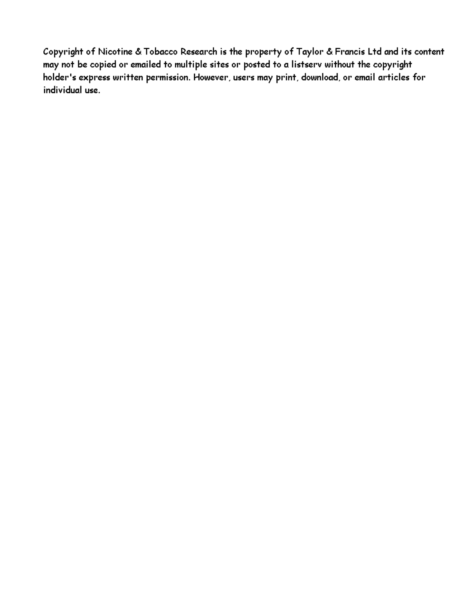Copyright of Nicotine & Tobacco Research is the property of Taylor & Francis Ltd and its content may not be copied or emailed to multiple sites or posted to a listserv without the copyright holder's express written permission. However, users may print, download, or email articles for individual use.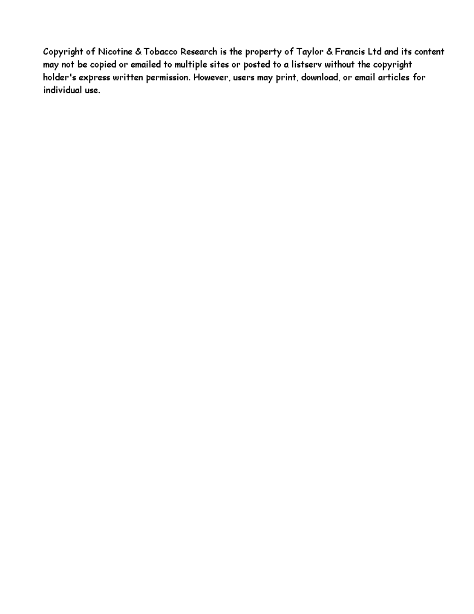Copyright of Nicotine & Tobacco Research is the property of Taylor & Francis Ltd and its content may not be copied or emailed to multiple sites or posted to a listserv without the copyright holder's express written permission. However, users may print, download, or email articles for individual use.